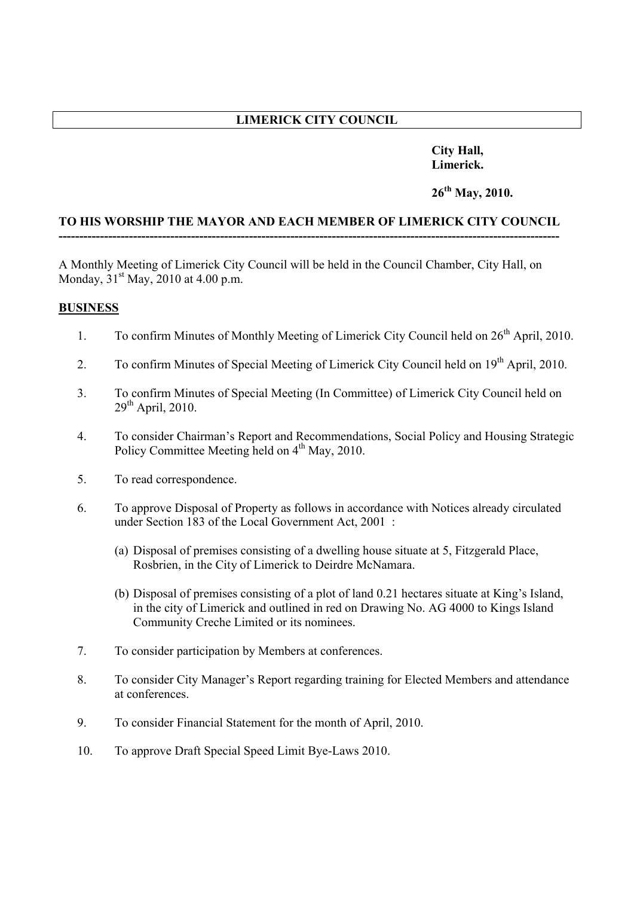# **LIMERICK CITY COUNCIL**

# **City Hall, Limerick.**

# **26th May, 2010.**

#### **TO HIS WORSHIP THE MAYOR AND EACH MEMBER OF LIMERICK CITY COUNCIL -------------------------------------------------------------------------------------------------------------------------**

A Monthly Meeting of Limerick City Council will be held in the Council Chamber, City Hall, on Monday,  $31^{st}$  May, 2010 at 4.00 p.m.

#### **BUSINESS**

- 1. To confirm Minutes of Monthly Meeting of Limerick City Council held on  $26<sup>th</sup>$  April, 2010.
- 2. To confirm Minutes of Special Meeting of Limerick City Council held on 19<sup>th</sup> April, 2010.
- 3. To confirm Minutes of Special Meeting (In Committee) of Limerick City Council held on  $29<sup>th</sup>$  April, 2010.
- 4. To consider Chairman's Report and Recommendations, Social Policy and Housing Strategic Policy Committee Meeting held on  $4<sup>th</sup>$  May, 2010.
- 5. To read correspondence.
- 6. To approve Disposal of Property as follows in accordance with Notices already circulated under Section 183 of the Local Government Act, 2001 :
	- (a) Disposal of premises consisting of a dwelling house situate at 5, Fitzgerald Place, Rosbrien, in the City of Limerick to Deirdre McNamara.
	- (b) Disposal of premises consisting of a plot of land 0.21 hectares situate at King's Island, in the city of Limerick and outlined in red on Drawing No. AG 4000 to Kings Island Community Creche Limited or its nominees.
- 7. To consider participation by Members at conferences.
- 8. To consider City Manager's Report regarding training for Elected Members and attendance at conferences.
- 9. To consider Financial Statement for the month of April, 2010.
- 10. To approve Draft Special Speed Limit Bye-Laws 2010.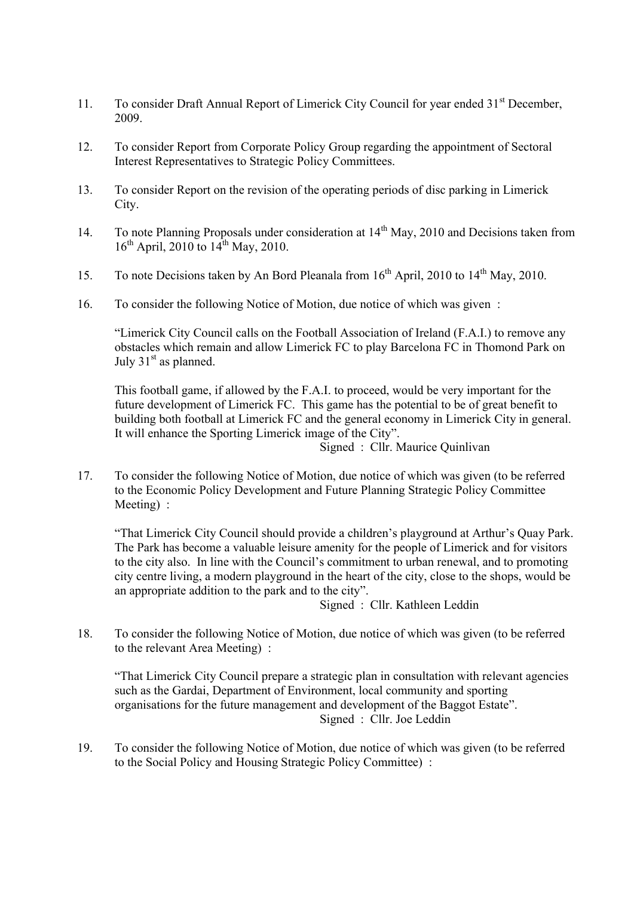- 11. To consider Draft Annual Report of Limerick City Council for year ended 31<sup>st</sup> December, 2009.
- 12. To consider Report from Corporate Policy Group regarding the appointment of Sectoral Interest Representatives to Strategic Policy Committees.
- 13. To consider Report on the revision of the operating periods of disc parking in Limerick City.
- 14. To note Planning Proposals under consideration at 14<sup>th</sup> May, 2010 and Decisions taken from  $16<sup>th</sup>$  April, 2010 to  $14<sup>th</sup>$  May, 2010.
- 15. To note Decisions taken by An Bord Pleanala from  $16^{th}$  April, 2010 to  $14^{th}$  May, 2010.
- 16. To consider the following Notice of Motion, due notice of which was given :

"Limerick City Council calls on the Football Association of Ireland (F.A.I.) to remove any obstacles which remain and allow Limerick FC to play Barcelona FC in Thomond Park on July  $31<sup>st</sup>$  as planned.

This football game, if allowed by the F.A.I. to proceed, would be very important for the future development of Limerick FC. This game has the potential to be of great benefit to building both football at Limerick FC and the general economy in Limerick City in general. It will enhance the Sporting Limerick image of the City".

Signed : Cllr. Maurice Quinlivan

17. To consider the following Notice of Motion, due notice of which was given (to be referred to the Economic Policy Development and Future Planning Strategic Policy Committee Meeting) :

"That Limerick City Council should provide a children's playground at Arthur's Quay Park. The Park has become a valuable leisure amenity for the people of Limerick and for visitors to the city also. In line with the Council's commitment to urban renewal, and to promoting city centre living, a modern playground in the heart of the city, close to the shops, would be an appropriate addition to the park and to the city".

Signed : Cllr. Kathleen Leddin

18. To consider the following Notice of Motion, due notice of which was given (to be referred to the relevant Area Meeting) :

"That Limerick City Council prepare a strategic plan in consultation with relevant agencies such as the Gardai, Department of Environment, local community and sporting organisations for the future management and development of the Baggot Estate". Signed : Cllr. Joe Leddin

19. To consider the following Notice of Motion, due notice of which was given (to be referred to the Social Policy and Housing Strategic Policy Committee) :